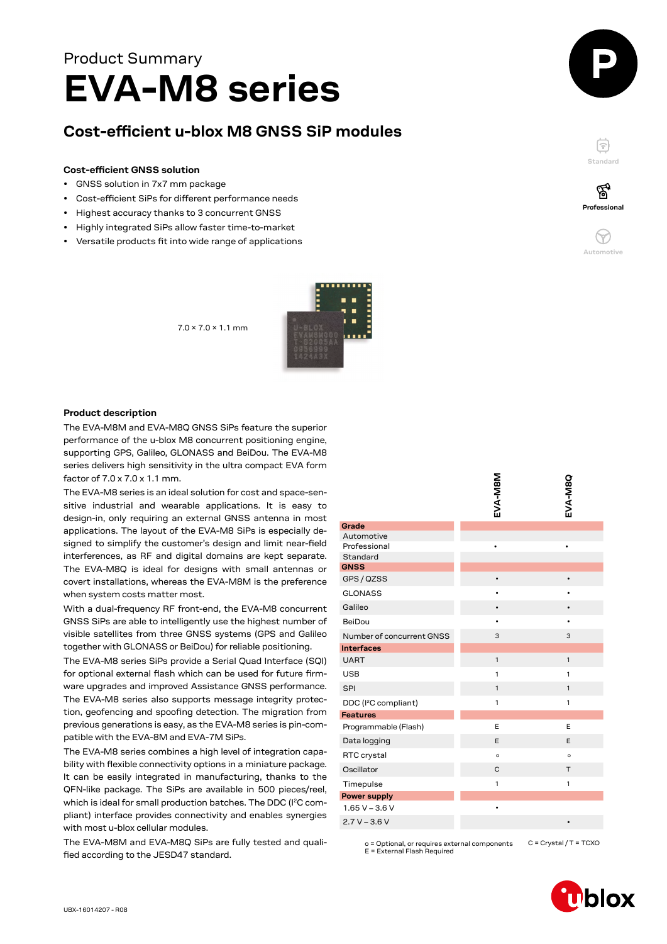# **EVA-M8 series** Product Summary

# **Cost-efficient u-blox M8 GNSS SiP modules**

### **Cost-efficient GNSS solution**

- GNSS solution in 7x7 mm package
- Cost-efficient SiPs for different performance needs
- Highest accuracy thanks to 3 concurrent GNSS
- Highly integrated SiPs allow faster time-to-market
- Versatile products fit into wide range of applications



7.0 × 7.0 × 1.1 mm

## **Product description**

The EVA-M8M and EVA-M8Q GNSS SiPs feature the superior performance of the u-blox M8 concurrent positioning engine, supporting GPS, Galileo, GLONASS and BeiDou. The EVA-M8 series delivers high sensitivity in the ultra compact EVA form factor of 7.0 x 7.0 x 1.1 mm.

The EVA-M8 series is an ideal solution for cost and space-sensitive industrial and wearable applications. It is easy to design-in, only requiring an external GNSS antenna in most applications. The layout of the EVA-M8 SiPs is especially designed to simplify the customer's design and limit near-field interferences, as RF and digital domains are kept separate. The EVA-M8Q is ideal for designs with small antennas or covert installations, whereas the EVA-M8M is the preference when system costs matter most.

With a dual-frequency RF front-end, the EVA-M8 concurrent GNSS SiPs are able to intelligently use the highest number of visible satellites from three GNSS systems (GPS and Galileo together with GLONASS or BeiDou) for reliable positioning.

The EVA-M8 series SiPs provide a Serial Quad Interface (SQI) for optional external flash which can be used for future firmware upgrades and improved Assistance GNSS performance. The EVA-M8 series also supports message integrity protection, geofencing and spoofing detection. The migration from previous generations is easy, as the EVA-M8 series is pin-compatible with the EVA-8M and EVA-7M SiPs.

The EVA-M8 series combines a high level of integration capability with flexible connectivity options in a miniature package. It can be easily integrated in manufacturing, thanks to the QFN-like package. The SiPs are available in 500 pieces/reel, which is ideal for small production batches. The DDC (I<sup>2</sup>C compliant) interface provides connectivity and enables synergies with most u-blox cellular modules.

The EVA-M8M and EVA-M8Q SiPs are fully tested and qualified according to the JESD47 standard.

|                                  | EVA-M8M      | EVA-M8Q      |
|----------------------------------|--------------|--------------|
|                                  |              |              |
| Grade                            |              |              |
| Automotive                       |              |              |
| Professional                     |              |              |
| Standard<br><b>GNSS</b>          |              |              |
| GPS / QZSS                       |              |              |
| <b>GLONASS</b>                   |              |              |
| Galileo                          |              |              |
| BeiDou                           |              |              |
| Number of concurrent GNSS        | 3            | 3            |
| <b>Interfaces</b>                |              |              |
| <b>UART</b>                      | $\mathbf{1}$ | $\mathbf{1}$ |
| <b>USB</b>                       | $\mathbf{1}$ | 1            |
| SPI                              | $\mathbf{1}$ | $\mathbf{1}$ |
| DDC (I <sup>2</sup> C compliant) | $\mathbf{1}$ | 1            |
| <b>Features</b>                  |              |              |
| Programmable (Flash)             | E            | E            |
| Data logging                     | E            | E            |
| RTC crystal                      | $\circ$      | $\circ$      |
| Oscillator                       | $\mathbf C$  | T            |
| Timepulse                        | 1            | 1            |
| <b>Power supply</b>              |              |              |
| $1.65 V - 3.6 V$                 |              |              |
| $2.7 V - 3.6 V$                  |              |              |

Σ

o = Optional, or requires external components E = External Flash Required

C = Crystal / T = TCXO





**Standard**

F

**Professional**

ଙ୍କ

**Automotive**

 $\left(\gamma\right)$